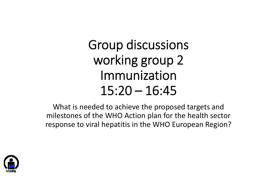# Group discussions working group 2 Immunization 15:20 – 16:45

What is needed to achieve the proposed targets and milestones of the WHO Action plan for the health sector response to viral hepatitis in the WHO European Region?

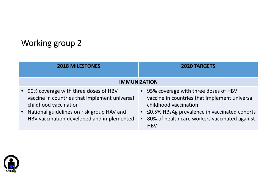| <b>2018 MILESTONES</b>                                                                                                                                                                                       | <b>2020 TARGETS</b>                                                                                                                                                                                                                       |
|--------------------------------------------------------------------------------------------------------------------------------------------------------------------------------------------------------------|-------------------------------------------------------------------------------------------------------------------------------------------------------------------------------------------------------------------------------------------|
| <b>IMMUNIZATION</b>                                                                                                                                                                                          |                                                                                                                                                                                                                                           |
| • 90% coverage with three doses of HBV<br>vaccine in countries that implement universal<br>childhood vaccination<br>• National guidelines on risk group HAV and<br>HBV vaccination developed and implemented | • 95% coverage with three doses of HBV<br>vaccine in countries that implement universal<br>childhood vaccination<br>• $\leq$ 0.5% HBsAg prevalence in vaccinated cohorts<br>• 80% of health care workers vaccinated against<br><b>HBV</b> |

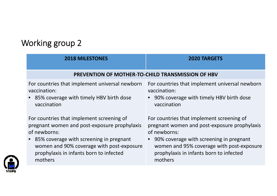| <b>2018 MILESTONES</b>                                   | <b>2020 TARGETS</b>                            |
|----------------------------------------------------------|------------------------------------------------|
| <b>PREVENTION OF MOTHER-TO-CHILD TRANSMISSION OF HBV</b> |                                                |
| For countries that implement universal newborn           | For countries that implement universal newborn |
| vaccination:                                             | vaccination:                                   |
| • 85% coverage with timely HBV birth dose                | • 90% coverage with timely HBV birth dose      |
| vaccination                                              | vaccination                                    |
| For countries that implement screening of                | For countries that implement screening of      |
| pregnant women and post-exposure prophylaxis             | pregnant women and post-exposure prophylaxis   |
| of newborns:                                             | of newborns:                                   |
| • 85% coverage with screening in pregnant                | • 90% coverage with screening in pregnant      |
| women and 90% coverage with post-exposure                | women and 95% coverage with post-exposure      |
| prophylaxis in infants born to infected                  | prophylaxis in infants born to infected        |
| mothers                                                  | mothers                                        |

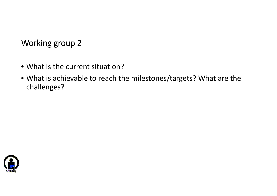- What is the current situation?
- What is achievable to reach the milestones/targets? What are the challenges?

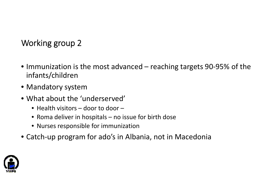- Immunization is the most advanced reaching targets 90‐95% of the infants/children
- Mandatory system
- What about the 'underserved'
	- Health visitors door to door –
	- Roma deliver in hospitals no issue for birth dose
	- Nurses responsible for immunization
- Catch‐up program for ado's in Albania, not in Macedonia

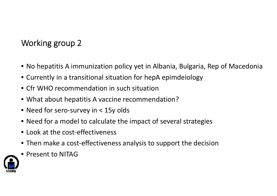- No hepatitis A immunization policy yet in Albania, Bulgaria, Rep of Macedonia
- Currently in <sup>a</sup> transitional situation for hepA epimdeiology
- Cfr WHO recommendation in such situation
- What about hepatitis A vaccine recommendation?
- Need for sero‐survey in <sup>&</sup>lt; 15y olds
- Need for <sup>a</sup> model to calculate the impact of several strategies
- Look at the cost-effectiveness
- Then make <sup>a</sup> cost‐effectiveness analysis to support the decision
- Present to NITAG

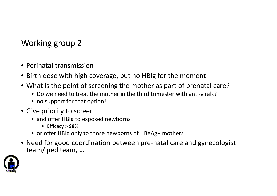- Perinatal transmission
- Birth dose with high coverage, but no HBIg for the moment
- What is the point of screening the mother as part of prenatal care?
	- Do we need to treat the mother in the third trimester with anti-virals?
	- no support for that option!
- Give priority to screen
	- and offer HBIg to exposed newborns
		- Efficacy <sup>&</sup>gt; 98%
	- or offer HBIg only to those newborns of HBeAg+ mothers
- Need for good coordination between pre‐natal care and gynecologist team/ ped team, …